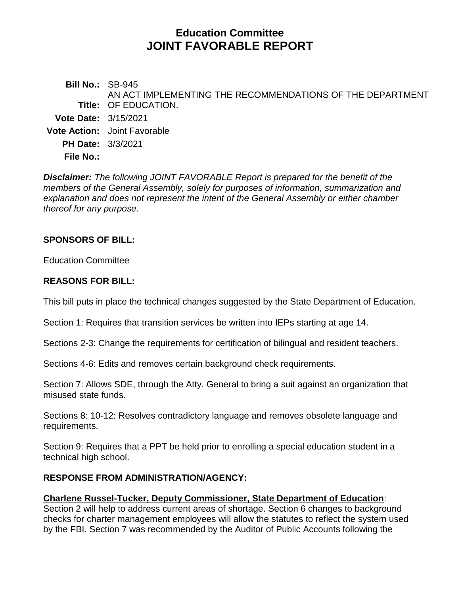# **Education Committee JOINT FAVORABLE REPORT**

**Bill No.:** SB-945 **Title:** OF EDUCATION. AN ACT IMPLEMENTING THE RECOMMENDATIONS OF THE DEPARTMENT **Vote Date:** 3/15/2021 **Vote Action:** Joint Favorable **PH Date:** 3/3/2021 **File No.:**

*Disclaimer: The following JOINT FAVORABLE Report is prepared for the benefit of the members of the General Assembly, solely for purposes of information, summarization and explanation and does not represent the intent of the General Assembly or either chamber thereof for any purpose.*

#### **SPONSORS OF BILL:**

Education Committee

#### **REASONS FOR BILL:**

This bill puts in place the technical changes suggested by the State Department of Education.

Section 1: Requires that transition services be written into IEPs starting at age 14.

Sections 2-3: Change the requirements for certification of bilingual and resident teachers.

Sections 4-6: Edits and removes certain background check requirements.

Section 7: Allows SDE, through the Atty. General to bring a suit against an organization that misused state funds.

Sections 8: 10-12: Resolves contradictory language and removes obsolete language and requirements.

Section 9: Requires that a PPT be held prior to enrolling a special education student in a technical high school.

#### **RESPONSE FROM ADMINISTRATION/AGENCY:**

#### **Charlene Russel-Tucker, Deputy Commissioner, State Department of Education**:

Section 2 will help to address current areas of shortage. Section 6 changes to background checks for charter management employees will allow the statutes to reflect the system used by the FBI. Section 7 was recommended by the Auditor of Public Accounts following the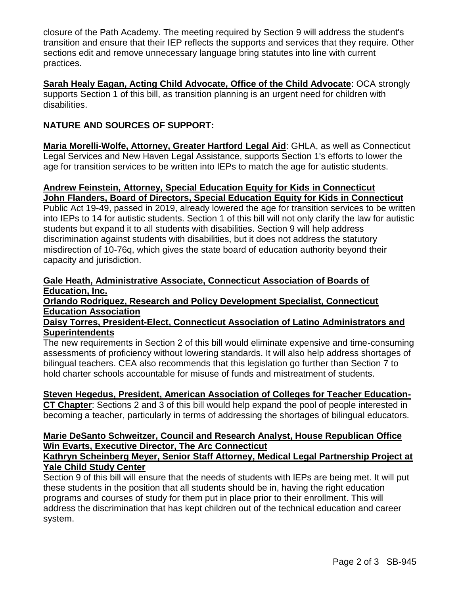closure of the Path Academy. The meeting required by Section 9 will address the student's transition and ensure that their IEP reflects the supports and services that they require. Other sections edit and remove unnecessary language bring statutes into line with current practices.

**Sarah Healy Eagan, Acting Child Advocate, Office of the Child Advocate**: OCA strongly supports Section 1 of this bill, as transition planning is an urgent need for children with disabilities.

## **NATURE AND SOURCES OF SUPPORT:**

**Maria Morelli-Wolfe, Attorney, Greater Hartford Legal Aid**: GHLA, as well as Connecticut Legal Services and New Haven Legal Assistance, supports Section 1's efforts to lower the age for transition services to be written into IEPs to match the age for autistic students.

## **Andrew Feinstein, Attorney, Special Education Equity for Kids in Connecticut John Flanders, Board of Directors, Special Education Equity for Kids in Connecticut**

Public Act 19-49, passed in 2019, already lowered the age for transition services to be written into IEPs to 14 for autistic students. Section 1 of this bill will not only clarify the law for autistic students but expand it to all students with disabilities. Section 9 will help address discrimination against students with disabilities, but it does not address the statutory misdirection of 10-76q, which gives the state board of education authority beyond their capacity and jurisdiction.

#### **Gale Heath, Administrative Associate, Connecticut Association of Boards of Education, Inc.**

**Orlando Rodriguez, Research and Policy Development Specialist, Connecticut Education Association**

#### **Daisy Torres, President-Elect, Connecticut Association of Latino Administrators and Superintendents**

The new requirements in Section 2 of this bill would eliminate expensive and time-consuming assessments of proficiency without lowering standards. It will also help address shortages of bilingual teachers. CEA also recommends that this legislation go further than Section 7 to hold charter schools accountable for misuse of funds and mistreatment of students.

## **Steven Hegedus, President, American Association of Colleges for Teacher Education-**

**CT Chapter**: Sections 2 and 3 of this bill would help expand the pool of people interested in becoming a teacher, particularly in terms of addressing the shortages of bilingual educators.

#### **Marie DeSanto Schweitzer, Council and Research Analyst, House Republican Office Win Evarts, Executive Director, The Arc Connecticut**

#### **Kathryn Scheinberg Meyer, Senior Staff Attorney, Medical Legal Partnership Project at Yale Child Study Center**

Section 9 of this bill will ensure that the needs of students with lEPs are being met. It will put these students in the position that all students should be in, having the right education programs and courses of study for them put in place prior to their enrollment. This will address the discrimination that has kept children out of the technical education and career system.